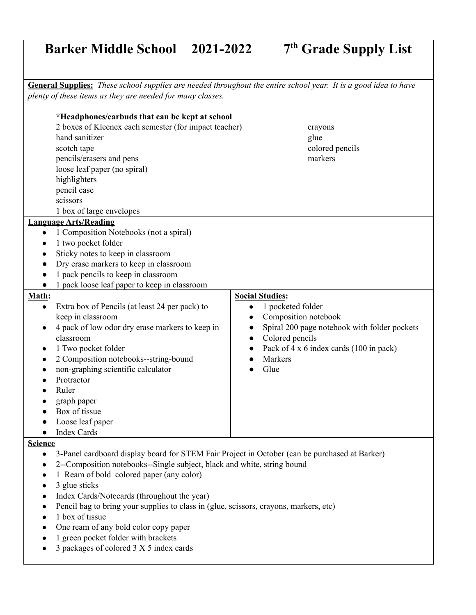## **Barker Middle School 2021-2022 7th Grade Supply List**

General Supplies: These school supplies are needed throughout the entire school year. It is a good idea to have *plenty of these items as they are needed for many classes.*

| *Headphones/earbuds that can be kept at school<br>2 boxes of Kleenex each semester (for impact teacher)<br>hand sanitizer<br>scotch tape<br>pencils/erasers and pens<br>loose leaf paper (no spiral)<br>highlighters<br>pencil case<br>scissors<br>1 box of large envelopes                                                                                                                                                                                                                                                                                                      | crayons<br>glue<br>colored pencils<br>markers                                                                                                                                                                                                            |
|----------------------------------------------------------------------------------------------------------------------------------------------------------------------------------------------------------------------------------------------------------------------------------------------------------------------------------------------------------------------------------------------------------------------------------------------------------------------------------------------------------------------------------------------------------------------------------|----------------------------------------------------------------------------------------------------------------------------------------------------------------------------------------------------------------------------------------------------------|
| <b>Language Arts/Reading</b><br>1 Composition Notebooks (not a spiral)<br>$\bullet$<br>1 two pocket folder<br>$\bullet$<br>Sticky notes to keep in classroom<br>$\bullet$<br>Dry erase markers to keep in classroom<br>$\bullet$<br>1 pack pencils to keep in classroom<br>1 pack loose leaf paper to keep in classroom                                                                                                                                                                                                                                                          |                                                                                                                                                                                                                                                          |
| Math:<br>Extra box of Pencils (at least 24 per pack) to<br>$\bullet$<br>keep in classroom<br>4 pack of low odor dry erase markers to keep in<br>classroom<br>1 Two pocket folder<br>$\bullet$<br>2 Composition notebooks--string-bound<br>$\bullet$<br>non-graphing scientific calculator<br>Protractor<br>Ruler<br>graph paper<br>Box of tissue<br>Loose leaf paper<br><b>Index Cards</b><br>$\bullet$                                                                                                                                                                          | <b>Social Studies:</b><br>1 pocketed folder<br>$\bullet$<br>Composition notebook<br>$\bullet$<br>Spiral 200 page notebook with folder pockets<br>$\bullet$<br>Colored pencils<br>$\bullet$<br>Pack of 4 x 6 index cards (100 in pack)<br>Markers<br>Glue |
| <b>Science</b><br>3-Panel cardboard display board for STEM Fair Project in October (can be purchased at Barker)<br>$\bullet$<br>2--Composition notebooks--Single subject, black and white, string bound<br>$\bullet$<br>1 Ream of bold colored paper (any color)<br>3 glue sticks<br>$\bullet$<br>Index Cards/Notecards (throughout the year)<br>$\bullet$<br>Pencil bag to bring your supplies to class in (glue, scissors, crayons, markers, etc)<br>$\bullet$<br>1 box of tissue<br>One ream of any bold color copy paper<br>1 green pocket folder with brackets<br>$\bullet$ |                                                                                                                                                                                                                                                          |

● 3 packages of colored 3 X 5 index cards